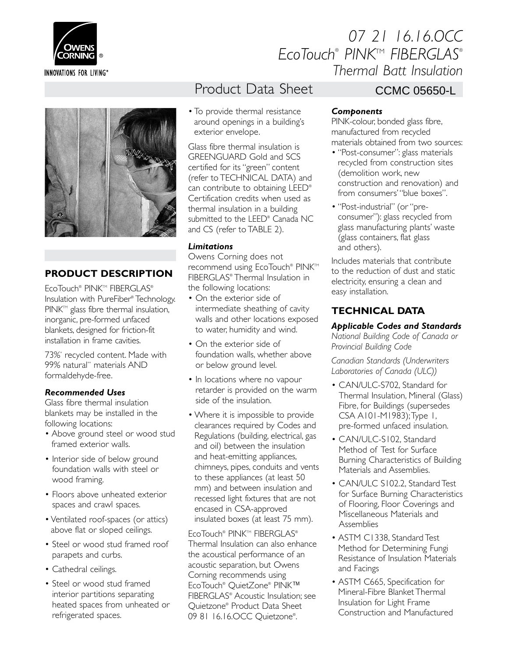

# *07 21 16.16.OCC EcoTouch® PINK*TM *FIBERGLAS® Thermal Batt Insulation*



## **Product Description**

EcoTouch® PINK™ FIBERGLAS® Insulation with PureFiber® Technology. PINK<sup>TM</sup> glass fibre thermal insulation, inorganic, pre-formed unfaced blankets, designed for friction-fit installation in frame cavities.

73%\* recycled content. Made with 99% natural\*\* materials AND formaldehyde-free.

### *Recommended Uses*

Glass fibre thermal insulation blankets may be installed in the following locations:

- Above ground steel or wood stud framed exterior walls.
- Interior side of below ground foundation walls with steel or wood framing.
- Floors above unheated exterior spaces and crawl spaces.
- Ventilated roof-spaces (or attics) above flat or sloped ceilings.
- Steel or wood stud framed roof parapets and curbs.
- Cathedral ceilings.
- Steel or wood stud framed interior partitions separating heated spaces from unheated or refrigerated spaces.

# Product Data Sheet

• To provide thermal resistance around openings in a building's exterior envelope.

Glass fibre thermal insulation is GREENGUARD Gold and SCS certified for its "green" content (refer to TECHNICAL DATA) and can contribute to obtaining LEED® Certification credits when used as thermal insulation in a building submitted to the LEED® Canada NC and CS (refer to TABLE 2).

### *Limitations*

Owens Corning does not recommend using EcoTouch® PINK™ FIBERGLAS® Thermal Insulation in the following locations:

- On the exterior side of intermediate sheathing of cavity walls and other locations exposed to water, humidity and wind.
- On the exterior side of foundation walls, whether above or below ground level.
- In locations where no vapour retarder is provided on the warm side of the insulation.
- Where it is impossible to provide clearances required by Codes and Regulations (building, electrical, gas and oil) between the insulation and heat-emitting appliances, chimneys, pipes, conduits and vents to these appliances (at least 50 mm) and between insulation and recessed light fixtures that are not encased in CSA-approved insulated boxes (at least 75 mm).

EcoTouch® PINK™ FIBERGLAS® Thermal Insulation can also enhance the acoustical performance of an acoustic separation, but Owens Corning recommends using EcoTouch® QuietZone® PINK™ FIBERGLAS® Acoustic Insulation; see Quietzone® Product Data Sheet 09 81 16.16.OCC Ouietzone<sup>®</sup>. .

## CCMC 05650-L

### *Components*

PINK-colour, bonded glass fibre, manufactured from recycled materials obtained from two sources:

- "Post-consumer": glass materials recycled from construction sites (demolition work, new construction and renovation) and from consumers' "blue boxes".
- "Post-industrial" (or "preconsumer"): glass recycled from glass manufacturing plants' waste (glass containers, flat glass and others).

Includes materials that contribute to the reduction of dust and static electricity, ensuring a clean and easy installation.

## **TECHNICAL DATA**

*Applicable Codes and Standards National Building Code of Canada or Provincial Building Code*

*Canadian Standards (Underwriters Laboratories of Canada (ULC))*

- CAN/ULC-S702, Standard for Thermal Insulation, Mineral (Glass) Fibre, for Buildings (supersedes CSA A101-M1983); Type 1, pre-formed unfaced insulation.
- CAN/ULC-S102, Standard Method of Test for Surface Burning Characteristics of Building Materials and Assemblies.
- CAN/ULC S102.2, Standard Test for Surface Burning Characteristics of Flooring, Floor Coverings and Miscellaneous Materials and **Assemblies**
- ASTM C1338, Standard Test Method for Determining Fungi Resistance of Insulation Materials and Facings
- ASTM C665, Specification for Mineral-Fibre Blanket Thermal Insulation for Light Frame Construction and Manufactured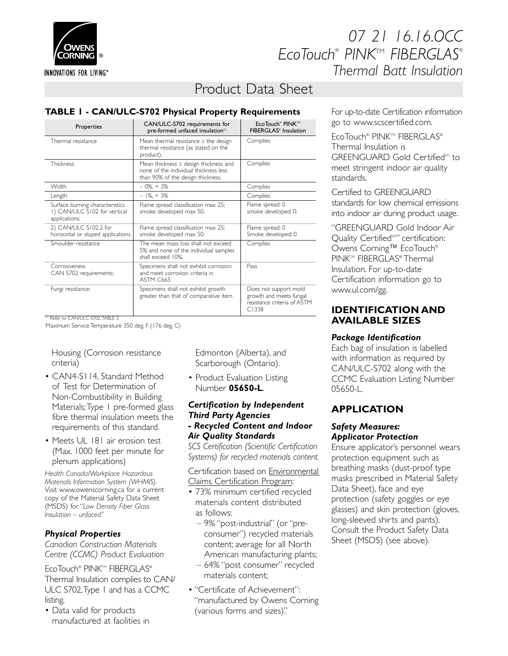

**INNOVATIONS FOR LIVING®** 

# *07 21 16.16.OCC EcoTouch® PINK*TM *FIBERGLAS® Thermal Batt Insulation*

# Product Data Sheet

### **TABLE 1 - CAN/ULC-S702 Physical Property Requirements**

| Properties                                                                       | CAN/ULC-S702 requirements for<br>pre-formed unfaced insulation <sup>(1)</sup>                                           | EcoTouch <sup>®</sup> PINK™<br>FIBERGLAS® Insulation                                     |  |  |
|----------------------------------------------------------------------------------|-------------------------------------------------------------------------------------------------------------------------|------------------------------------------------------------------------------------------|--|--|
| Thermal resistance                                                               | Mean thermal resistance $\geq$ the design<br>thermal resistance (as stated on the<br>product).                          | Complies                                                                                 |  |  |
| <b>Thickness</b>                                                                 | Mean thickness $\ge$ design thickness and<br>none of the individual thickness less<br>than 90% of the design thickness. | Complies                                                                                 |  |  |
| Width                                                                            | $-0\% + 3\%$                                                                                                            | Complies                                                                                 |  |  |
| Length                                                                           | $-1\% + 3\%$                                                                                                            | Complies                                                                                 |  |  |
| Surface burning characteristics<br>I) CAN/ULC S102 for vertical<br>applications: | Flame spread classification max 25;<br>smoke developed max 50.                                                          | Flame spread: 0<br>smoke developed: 0:                                                   |  |  |
| 2) CAN/ULC S102.2 for<br>horizontal or sloped applications                       | Flame spread classification max 25;<br>smoke developed max 50.                                                          | Flame spread: 0<br>Smoke developed: 0                                                    |  |  |
| Smoulder resistance                                                              | The mean mass loss shall not exceed<br>5% and none of the individual samples<br>shall exceed 10%.                       | Complies                                                                                 |  |  |
| Corrosiveness<br>CAN S702 requirements:                                          | Specimens shall not exhibit corrosion<br>and meet corrosion criteria in<br>ASTM C665                                    | Pass                                                                                     |  |  |
| Fungi resistance:                                                                | Specimens shall not exhibit growth<br>greater than that of comparative item                                             | Does not support mold<br>growth and meets fungal<br>resistance criteria of ASTM<br>C1338 |  |  |

 $\overset{(1)}{0}$  Refer to CAN/ULC-S702 TABLE 2

Maximum Service Temperature 350 deg. F (176 deg. C)

Housing (Corrosion resistance criteria)

- CAN4-S114, Standard Method of Test for Determination of Non-Combustibility in Building Materials; Type 1 pre-formed glass fibre thermal insulation meets the requirements of this standard.
- Meets UL 181 air erosion test (Max. 1000 feet per minute for plenum applications)

*Health Canada/Workplace Hazardous Materials Information System (WHMIS).* Visit www.owenscorning.ca for a current copy of the Material Safety Data Sheet (MSDS) for "*Low Density Fiber Glass Insulation – unfaced".*

### *Physical Properties*

*Canadian Construction Materials Centre (CCMC) Product Evaluation*

EcoTouch® PINK™ FIBERGLAS® Thermal Insulation complies to CAN/ ULC S702, Type 1 and has a CCMC listing.

• Data valid for products manufactured at facilities in Edmonton (Alberta), and Scarborough (Ontario).

• Product Evaluation Listing Number **05650-L**.

### *Certification by Independent Third Party Agencies - Recycled Content and Indoor Air Quality Standards*

*SCS Certification (Scientific Certification Systems) for recycled materials content.*

Certification based on Environmental Claims Certification Program:

- 73% minimum certified recycled materials content distributed as follows:
	- 9% "post-industrial" (or "preconsumer") recycled materials content; average for all North American manufacturing plants;
	- 64% "post consumer" recycled materials content;
- "Certificate of Achievement": "manufactured by Owens Corning (various forms and sizes)".

For up-to-date Certification information go to www.scscertified.com.

EcoTouch® PINK™ FIBERGLAS® Thermal Insulation is GREENGUARD Gold Certified<sup>5M</sup> to meet stringent indoor air quality standards.

Certified to GREENGUARD standards for low chemical emissions into indoor air during product usage.

"GREENGUARD Gold Indoor Air Ouality Certified<sup>SM"</sup> certification: Owens Corning™ EcoTouch® PINK™ FIBERGLAS® Thermal Insulation. For up-to-date Certification information go to www.ul.com/gg.

### **IDENTIFICATION AND AVAILABLE SIZES**

### *Package Identification*

Each bag of insulation is labelled with information as required by CAN/ULC-S702 along with the CCMC Evaluation Listing Number 05650-L.

## **APPLICATION**

#### *Safety Measures: Applicator Protection*

Ensure applicator's personnel wears protection equipment such as breathing masks (dust-proof type masks prescribed in Material Safety Data Sheet), face and eye protection (safety goggles or eye glasses) and skin protection (gloves, long-sleeved shirts and pants). Consult the Product Safety Data Sheet (MSDS) (see above).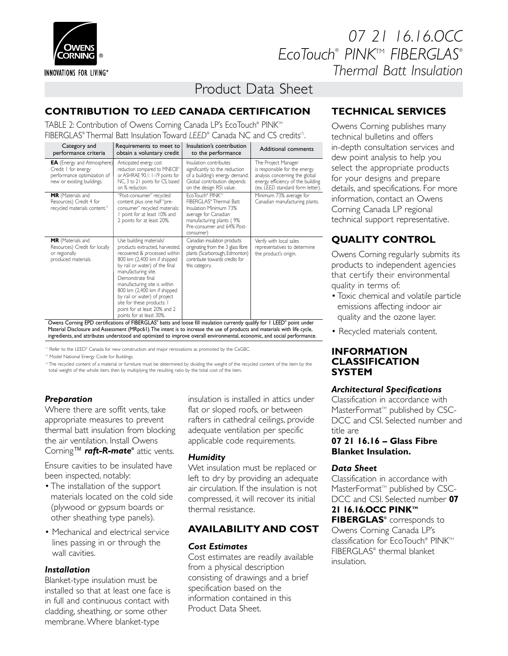

**INNOVATIONS FOR LIVING®** 

# *07 21 16.16.OCC EcoTouch® PINK*TM *FIBERGLAS® Thermal Batt Insulation*

# Product Data Sheet

# **CONTRIBUTION TO** *LEED* **CANADA CERTIFICATION**

TABLE 2: Contribution of Owens Corning Canada LP's EcoTouch® PINK™ FIBERGLAS® Thermal Batt Insulation Toward *LEED*® Canada NC and CS credits(1).

| Category and<br>performance criteria                                                                                  | Requirements to meet to<br>obtain a voluntary credit                                                                                                                                                                                                                                                                                                                                            | Insulation's contribution<br>to the performance                                                                                                                     | Additional comments                                                                                                                                             |
|-----------------------------------------------------------------------------------------------------------------------|-------------------------------------------------------------------------------------------------------------------------------------------------------------------------------------------------------------------------------------------------------------------------------------------------------------------------------------------------------------------------------------------------|---------------------------------------------------------------------------------------------------------------------------------------------------------------------|-----------------------------------------------------------------------------------------------------------------------------------------------------------------|
| <b>EA</b> (Energy and Atmosphere)<br>Credit I for energy<br>performance optimization of<br>new or existing buildings. | Anticipated energy cost<br>reduction compared to MNECB <sup>(2)</sup><br>or ASHRAE 90.1: 1-19 points for<br>NC, 3 to 21 points for CS, based<br>on % reduction.                                                                                                                                                                                                                                 | Insulation contributes<br>significantly to the reduction<br>of a building's energy demand.<br>Global contribution depends<br>on the design RSI value.               | The Project Manager<br>is responsible for the energy<br>analysis concerning the global<br>energy efficiency of the building<br>(ex. LEED standard form letter). |
| MR (Materials and<br>Resources) Credit 4 for<br>recycled materials content. <sup>2)</sup>                             | "Post-consumer" recycled<br>content plus one half "pre-<br>consumer" recycled materials:<br>point for at least 10% and<br>2 points for at least 20%.                                                                                                                                                                                                                                            | EcoTouch® PINK™<br>FIBERGLAS® Thermal Batt<br>Insulation Minimum 73%<br>average for Canadian<br>manufacturing plants (9%<br>Pre-consumer and 64% Post-<br>consumer) | Minimum 73% average for<br>Canadian manufacturing plants.                                                                                                       |
| MR (Materials and<br>Resources) Credit for locally<br>or regionally<br>produced materials.                            | Use building materials/<br>products extracted, harvested,<br>recovered & processed within<br>800 km (2,400 km if shipped<br>by rail or water) of the final<br>manufacturing site.<br>Demonstrate final<br>manufacturing site is within<br>800 km (2,400 km if shipped<br>by rail or water) of project<br>site for these products: I<br>point for at least 20% and 2<br>points for at least 30%. | Canadian insulation products<br>originating from the 3 glass fibre<br>plants (Scarborough, Edmonton)<br>contribute towards credits for<br>this category.            | Verify with local sales<br>representatives to determine<br>the product's origin.                                                                                |

Owens Corning EPD certifications of FIBERGLAS® batts and loose fill insulation currently qualify for 1 LEED® point under Material Disclosure and Assessment (MRpc61). The intent is to increase the use of products and materials with life cycle, ingredients, and attributes understood and optimized to improve overall environmental, economic, and social performance.

<sup>(1)</sup> Refer to the LEED® Canada for new construction and major renovations as promoted by the CaGBC.

<sup>(2)</sup> Model National Energy Code for Buildings.

<sup>®</sup> The recycled content of a material or furniture must be determined by dividing the weight of the recycled content of the item by the<br>total weight of the whole item, then by multiplying the resulting ratio by the total

### *Preparation*

Where there are soffit vents, take appropriate measures to prevent thermal batt insulation from blocking the air ventilation. Install Owens Corning™ **raft-R-mate®** attic vents.

Ensure cavities to be insulated have been inspected, notably:

- The installation of the support materials located on the cold side (plywood or gypsum boards or other sheathing type panels).
- Mechanical and electrical service lines passing in or through the wall cavities.

### *Installation*

Blanket-type insulation must be installed so that at least one face is in full and continuous contact with cladding, sheathing, or some other membrane. Where blanket-type

insulation is installed in attics under flat or sloped roofs, or between rafters in cathedral ceilings, provide adequate ventilation per specific applicable code requirements.

### *Humidity*

Wet insulation must be replaced or left to dry by providing an adequate air circulation. If the insulation is not compressed, it will recover its initial thermal resistance.

## **AVAILABILITY AND COST**

### *Cost Estimates*

Cost estimates are readily available from a physical description consisting of drawings and a brief specification based on the information contained in this Product Data Sheet.

## **TECHNICAL SERVICES**

Owens Corning publishes many technical bulletins and offers in-depth consultation services and dew point analysis to help you select the appropriate products for your designs and prepare details, and specifications. For more information, contact an Owens Corning Canada LP regional technical support representative.

## **QUALITY CONTROL**

Owens Corning regularly submits its products to independent agencies that certify their environmental quality in terms of:

- Toxic chemical and volatile particle emissions affecting indoor air quality and the ozone layer.
- Recycled materials content.

### **INFORMATION CLASSIFICATION SYSTEM**

### *Architectural Specifications*

Classification in accordance with MasterFormat<sup>™</sup> published by CSC-DCC and CSI. Selected number and title are

### **07 21 16.16 – Glass Fibre Blanket Insulation.**

### *Data Sheet*

Classification in accordance with MasterFormat<sup>™</sup> published by CSC-DCC and CSI. Selected number **07 21 16.16.OCC PINK™ FIBERGLAS®** corresponds to Owens Corning Canada LP's classification for EcoTouch® PINK™ FIBERGLAS® thermal blanket insulation.